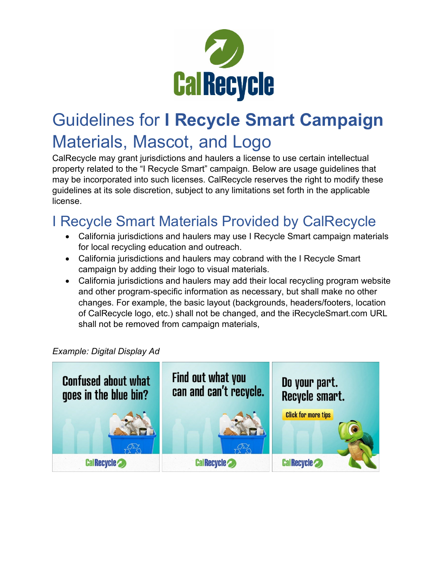

## Guidelines for **I Recycle Smart Campaign**  Materials, Mascot, and Logo

CalRecycle may grant jurisdictions and haulers a license to use certain intellectual property related to the "I Recycle Smart" campaign. Below are usage guidelines that may be incorporated into such licenses. CalRecycle reserves the right to modify these guidelines at its sole discretion, subject to any limitations set forth in the applicable license.

## I Recycle Smart Materials Provided by CalRecycle

- California jurisdictions and haulers may use I Recycle Smart campaign materials for local recycling education and outreach.
- California jurisdictions and haulers may cobrand with the I Recycle Smart campaign by adding their logo to visual materials.
- California jurisdictions and haulers may add their local recycling program website and other program-specific information as necessary, but shall make no other changes. For example, the basic layout (backgrounds, headers/footers, location of CalRecycle logo, etc.) shall not be changed, and the iRecycleSmart.com URL shall not be removed from campaign materials,

#### *Example: Digital Display Ad*

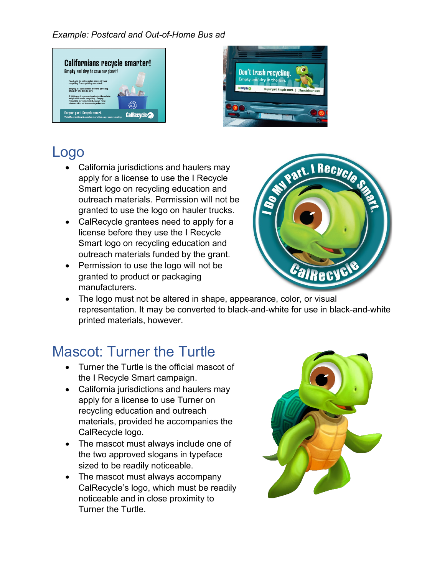*Example: Postcard and Out-of-Home Bus ad*





#### Logo

- California jurisdictions and haulers may apply for a license to use the I Recycle Smart logo on recycling education and outreach materials. Permission will not be granted to use the logo on hauler trucks.
- CalRecycle grantees need to apply for a license before they use the I Recycle Smart logo on recycling education and outreach materials funded by the grant.
- Permission to use the logo will not be granted to product or packaging manufacturers.



• The logo must not be altered in shape, appearance, color, or visual representation. It may be converted to black-and-white for use in black-and-white printed materials, however.

## Mascot: Turner the Turtle

- Turner the Turtle is the official mascot of the I Recycle Smart campaign.
- California jurisdictions and haulers may apply for a license to use Turner on recycling education and outreach materials, provided he accompanies the CalRecycle logo.
- The mascot must always include one of the two approved slogans in typeface sized to be readily noticeable.
- The mascot must always accompany CalRecycle's logo, which must be readily noticeable and in close proximity to Turner the Turtle.

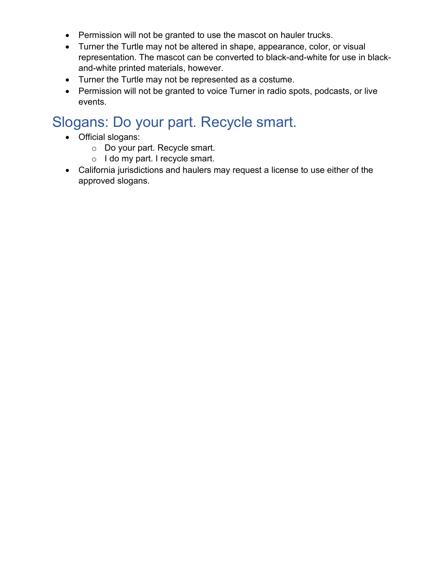- Permission will not be granted to use the mascot on hauler trucks.
- Turner the Turtle may not be altered in shape, appearance, color, or visual representation. The mascot can be converted to black-and-white for use in blackand-white printed materials, however.
- Turner the Turtle may not be represented as a costume.
- Permission will not be granted to voice Turner in radio spots, podcasts, or live events.

#### Slogans: Do your part. Recycle smart.

- Official slogans:
	- o Do your part. Recycle smart.
	- o I do my part. I recycle smart.
- California jurisdictions and haulers may request a license to use either of the approved slogans.